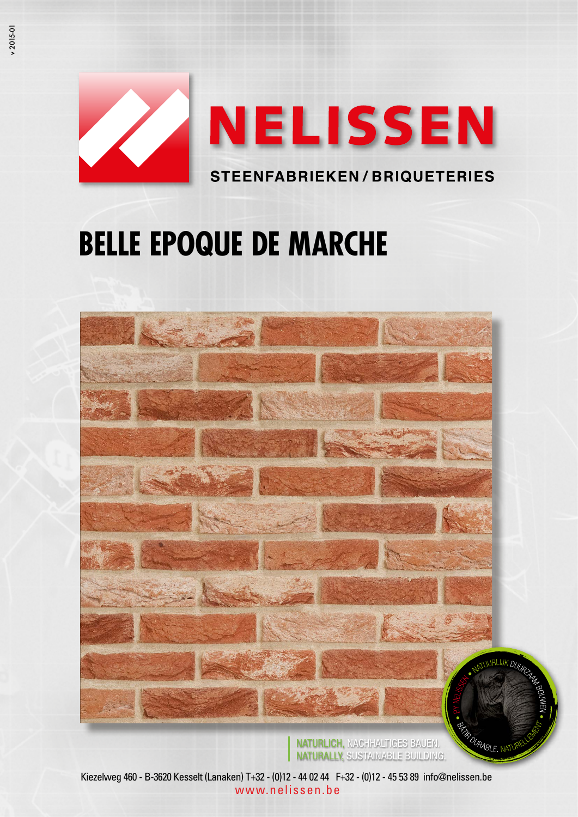

# **BELLE EPOQUE DE MARCHE**



NATURLICH, NACHHALTIGES BAUEN. NATURALLY, SUSTAINABLE BUILDING.

*Rab*le, ni

Kiezelweg 460 - B-3620 Kesselt (Lanaken) T+32 - (0)12 - 44 02 44 F+32 - (0)12 - 45 53 89 info@nelissen.be www.nelissen.be